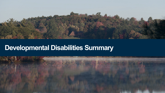

# **Developmental Disabilities Summary**

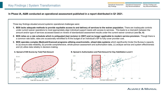ITS Key Findings and Key Recommendations Operational Assessment Key Recommendations Operational Assessment Key Findings

## **In Phase IA, A&M conducted an operational assessment published in a report distributed in Q1 2021.**

Three key findings situated around systemic operational challenges were:

- **1. BDS lacks adequate methods to provide equitable access to and delivery of services to the waiver population.** There are inadequate controls under current waiver operations to most appropriately align individual support needs with access to services. This leads to a mismatch between the amount and/or type of services accessed based on review of standardized assessment results under the current waiver construct (see **Ex. A**)
- **2. BDS relies on a rate schedule which is antiquated (last revision in 2007) and no longer applicable to modern service provision.** Though there is a common rate table, rates are occasionally retrofitted to fit the budget of an individual's ISP to fully cover provider cost.
- **3. BDS operates complex Medicaid-financed programs utilizing anachronistic, siloed data systems** which significantly hinder the Bureau's capacity to (a) ensure data reliability, (b) provide comprehensive, whole-person assessment and authorization data, (c) analyze service and system effectiveness and (d) utilize data reliably in decision-making.





**Average Authorized Units** 

 $12K$ 

\$20**K** 

SOK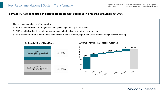ITS Key Findings and Key Recommendations Operational Assessment Key Recommendations Operational Assessment Key Findings

**In Phase IA, A&M conducted an operational assessment published in a report distributed in Q1 2021.**

The key recommendations of the report were:

- 1. BDS should **conduct** a 1915(c) waiver redesign by implementing tiered waivers
- 2. BDS should **develop** tiered reimbursement rates to better align payment with level of need
- 3. BDS should **establish** a comprehensive IT system to better manage, report, and utilize data in strategic decision-making



### **C. Sample "Brick" Rate Model D. Sample "Brick" Rate Model (waterfall)**